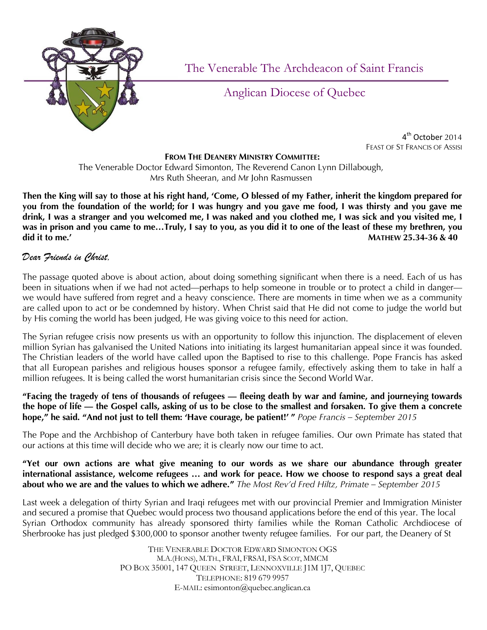

The Venerable The Archdeacon of Saint Francis

## Anglican Diocese of Quebec

 4 4<sup>th</sup> October 2014 FEAST OF ST FRANCIS OF ASSISI

## **FROM THE DEANERY MINISTRY COMMITTEE:**

The Venerable Doctor Edward Simonton, The Reverend Canon Lynn Dillabough, Mrs Ruth Sheeran, and Mr John Rasmussen

**Then the King will say to those at his right hand, 'Come, O blessed of my Father, inherit the kingdom prepared for you from the foundation of the world; for I was hungry and you gave me food, I was thirsty and you gave me drink, I was a stranger and you welcomed me, I was naked and you clothed me, I was sick and you visited me, I was in prison and you came to me…Truly, I say to you, as you did it to one of the least of these my brethren, you did it to me.' MATHEW 25.34-36 & 40**

## *Dear Friends in Christ,*

The passage quoted above is about action, about doing something significant when there is a need. Each of us has been in situations when if we had not acted—perhaps to help someone in trouble or to protect a child in danger we would have suffered from regret and a heavy conscience. There are moments in time when we as a community are called upon to act or be condemned by history. When Christ said that He did not come to judge the world but by His coming the world has been judged, He was giving voice to this need for action.

The Syrian refugee crisis now presents us with an opportunity to follow this injunction. The displacement of eleven million Syrian has galvanised the United Nations into initiating its largest humanitarian appeal since it was founded. The Christian leaders of the world have called upon the Baptised to rise to this challenge. Pope Francis has asked that all European parishes and religious houses sponsor a refugee family, effectively asking them to take in half a million refugees. It is being called the worst humanitarian crisis since the Second World War.

**"Facing the tragedy of tens of thousands of refugees — fleeing death by war and famine, and journeying towards the hope of life — the Gospel calls, asking of us to be close to the smallest and forsaken. To give them a concrete hope," he said. "And not just to tell them: 'Have courage, be patient!' "** *Pope Francis – September 2015*

The Pope and the Archbishop of Canterbury have both taken in refugee families. Our own Primate has stated that our actions at this time will decide who we are; it is clearly now our time to act.

## **"Yet our own actions are what give meaning to our words as we share our abundance through greater international assistance, welcome refugees … and work for peace. How we choose to respond says a great deal about who we are and the values to which we adhere."** *The Most Rev'd Fred Hiltz, Primate – September 2015*

Last week a delegation of thirty Syrian and Iraqi refugees met with our provincial Premier and Immigration Minister and secured a promise that Quebec would process two thousand applications before the end of this year. The local Syrian Orthodox community has already sponsored thirty families while the Roman Catholic Archdiocese of Sherbrooke has just pledged \$300,000 to sponsor another twenty refugee families. For our part, the Deanery of St

> THE VENERABLE DOCTOR EDWARD SIMONTON OGS M.A.(HONS), M.TH., FRAI, FRSAI, FSA SCOT, MMCM PO BOX 35001, 147 QUEEN STREET, LENNOXVILLE J1M 1J7, QUEBEC TELEPHONE: 819 679 9957 E-MAIL: esimonton@quebec.anglican.ca